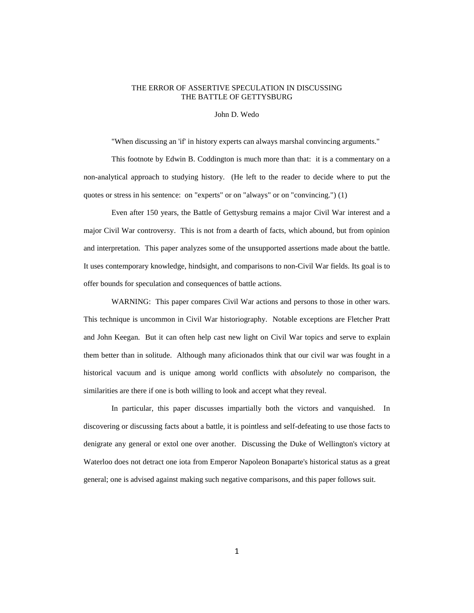# THE ERROR OF ASSERTIVE SPECULATION IN DISCUSSING THE BATTLE OF GETTYSBURG

John D. Wedo

"When discussing an 'if' in history experts can always marshal convincing arguments."

This footnote by Edwin B. Coddington is much more than that: it is a commentary on a non-analytical approach to studying history. (He left to the reader to decide where to put the quotes or stress in his sentence: on "experts" or on "always" or on "convincing.") (1)

Even after 150 years, the Battle of Gettysburg remains a major Civil War interest and a major Civil War controversy. This is not from a dearth of facts, which abound, but from opinion and interpretation. This paper analyzes some of the unsupported assertions made about the battle. It uses contemporary knowledge, hindsight, and comparisons to non-Civil War fields. Its goal is to offer bounds for speculation and consequences of battle actions.

WARNING: This paper compares Civil War actions and persons to those in other wars. This technique is uncommon in Civil War historiography. Notable exceptions are Fletcher Pratt and John Keegan. But it can often help cast new light on Civil War topics and serve to explain them better than in solitude. Although many aficionados think that our civil war was fought in a historical vacuum and is unique among world conflicts with *absolutely* no comparison, the similarities are there if one is both willing to look and accept what they reveal.

In particular, this paper discusses impartially both the victors and vanquished. In discovering or discussing facts about a battle, it is pointless and self-defeating to use those facts to denigrate any general or extol one over another. Discussing the Duke of Wellington's victory at Waterloo does not detract one iota from Emperor Napoleon Bonaparte's historical status as a great general; one is advised against making such negative comparisons, and this paper follows suit.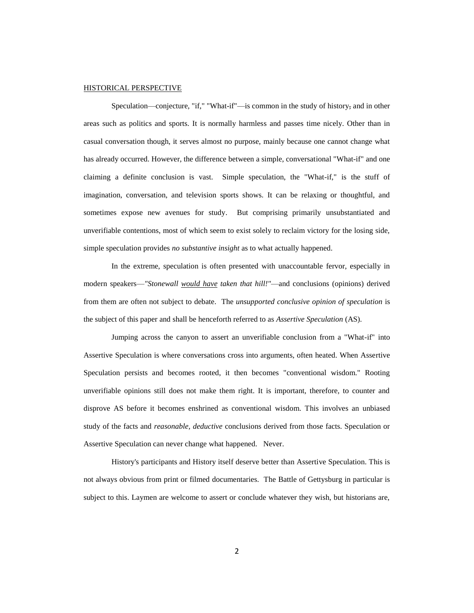#### HISTORICAL PERSPECTIVE

Speculation—conjecture, "if," "What-if"—is common in the study of history, and in other areas such as politics and sports. It is normally harmless and passes time nicely. Other than in casual conversation though, it serves almost no purpose, mainly because one cannot change what has already occurred. However, the difference between a simple, conversational "What-if" and one claiming a definite conclusion is vast. Simple speculation, the "What-if," is the stuff of imagination, conversation, and television sports shows. It can be relaxing or thoughtful, and sometimes expose new avenues for study. But comprising primarily unsubstantiated and unverifiable contentions, most of which seem to exist solely to reclaim victory for the losing side, simple speculation provides *no substantive insight* as to what actually happened.

In the extreme, speculation is often presented with unaccountable fervor, especially in modern speakers—*"Stonewall would have taken that hill!"*—and conclusions (opinions) derived from them are often not subject to debate. The *unsupported conclusive opinion of speculation* is the subject of this paper and shall be henceforth referred to as *Assertive Speculation* (AS).

Jumping across the canyon to assert an unverifiable conclusion from a "What-if" into Assertive Speculation is where conversations cross into arguments, often heated. When Assertive Speculation persists and becomes rooted, it then becomes "conventional wisdom." Rooting unverifiable opinions still does not make them right. It is important, therefore, to counter and disprove AS before it becomes enshrined as conventional wisdom. This involves an unbiased study of the facts and *reasonable, deductive* conclusions derived from those facts. Speculation or Assertive Speculation can never change what happened. Never.

History's participants and History itself deserve better than Assertive Speculation. This is not always obvious from print or filmed documentaries. The Battle of Gettysburg in particular is subject to this. Laymen are welcome to assert or conclude whatever they wish, but historians are,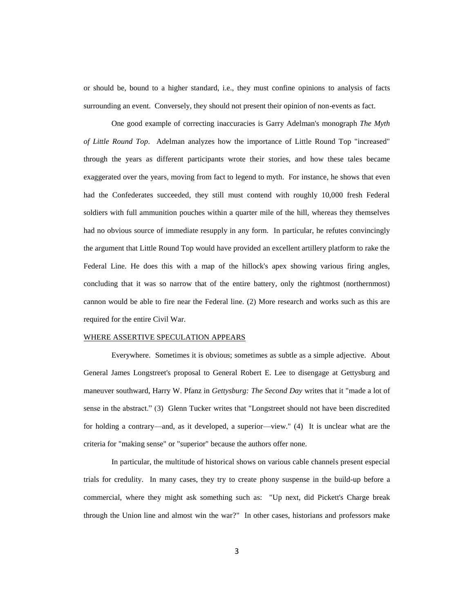or should be, bound to a higher standard, i.e., they must confine opinions to analysis of facts surrounding an event. Conversely, they should not present their opinion of non-events as fact.

One good example of correcting inaccuracies is Garry Adelman's monograph *The Myth of Little Round Top*. Adelman analyzes how the importance of Little Round Top "increased" through the years as different participants wrote their stories, and how these tales became exaggerated over the years, moving from fact to legend to myth. For instance, he shows that even had the Confederates succeeded, they still must contend with roughly 10,000 fresh Federal soldiers with full ammunition pouches within a quarter mile of the hill, whereas they themselves had no obvious source of immediate resupply in any form. In particular, he refutes convincingly the argument that Little Round Top would have provided an excellent artillery platform to rake the Federal Line. He does this with a map of the hillock's apex showing various firing angles, concluding that it was so narrow that of the entire battery, only the rightmost (northernmost) cannon would be able to fire near the Federal line. (2) More research and works such as this are required for the entire Civil War.

#### WHERE ASSERTIVE SPECULATION APPEARS

Everywhere. Sometimes it is obvious; sometimes as subtle as a simple adjective. About General James Longstreet's proposal to General Robert E. Lee to disengage at Gettysburg and maneuver southward, Harry W. Pfanz in *Gettysburg: The Second Day* writes that it "made a lot of sense in the abstract." (3) Glenn Tucker writes that "Longstreet should not have been discredited for holding a contrary—and, as it developed, a superior—view." (4) It is unclear what are the criteria for "making sense" or "superior" because the authors offer none.

In particular, the multitude of historical shows on various cable channels present especial trials for credulity. In many cases, they try to create phony suspense in the build-up before a commercial, where they might ask something such as: "Up next, did Pickett's Charge break through the Union line and almost win the war?" In other cases, historians and professors make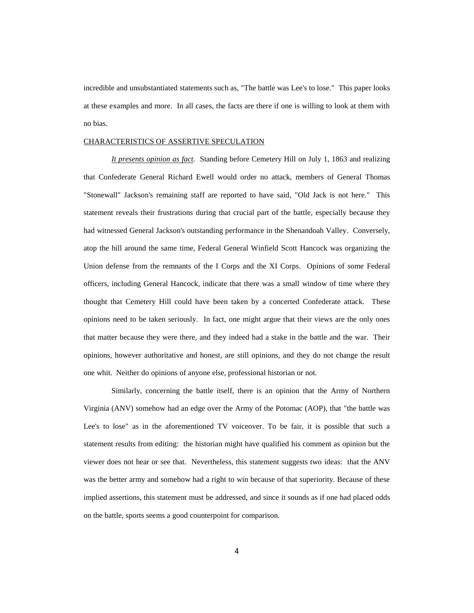incredible and unsubstantiated statements such as, "The battle was Lee's to lose." This paper looks at these examples and more. In all cases, the facts are there if one is willing to look at them with no bias.

#### CHARACTERISTICS OF ASSERTIVE SPECULATION

*It presents opinion as fact.* Standing before Cemetery Hill on July 1, 1863 and realizing that Confederate General Richard Ewell would order no attack, members of General Thomas "Stonewall" Jackson's remaining staff are reported to have said, "Old Jack is not here." This statement reveals their frustrations during that crucial part of the battle, especially because they had witnessed General Jackson's outstanding performance in the Shenandoah Valley. Conversely, atop the hill around the same time, Federal General Winfield Scott Hancock was organizing the Union defense from the remnants of the I Corps and the XI Corps. Opinions of some Federal officers, including General Hancock, indicate that there was a small window of time where they thought that Cemetery Hill could have been taken by a concerted Confederate attack. These opinions need to be taken seriously. In fact, one might argue that their views are the only ones that matter because they were there, and they indeed had a stake in the battle and the war. Their opinions, however authoritative and honest, are still opinions, and they do not change the result one whit. Neither do opinions of anyone else, professional historian or not.

Similarly, concerning the battle itself, there is an opinion that the Army of Northern Virginia (ANV) somehow had an edge over the Army of the Potomac (AOP), that "the battle was Lee's to lose" as in the aforementioned TV voiceover. To be fair, it is possible that such a statement results from editing: the historian might have qualified his comment as opinion but the viewer does not hear or see that. Nevertheless, this statement suggests two ideas: that the ANV was the better army and somehow had a right to win because of that superiority. Because of these implied assertions, this statement must be addressed, and since it sounds as if one had placed odds on the battle, sports seems a good counterpoint for comparison.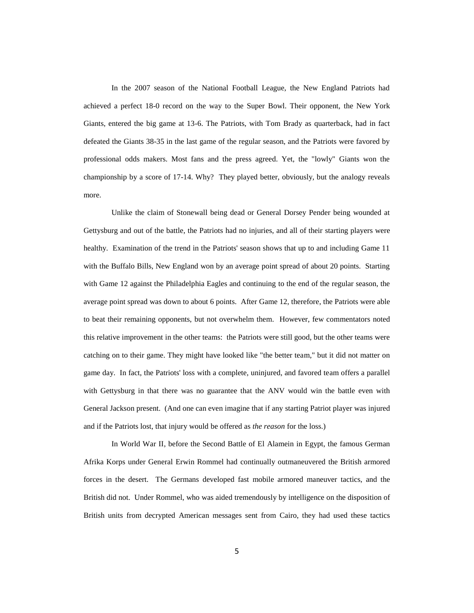In the 2007 season of the National Football League, the New England Patriots had achieved a perfect 18-0 record on the way to the Super Bowl. Their opponent, the New York Giants, entered the big game at 13-6. The Patriots, with Tom Brady as quarterback, had in fact defeated the Giants 38-35 in the last game of the regular season, and the Patriots were favored by professional odds makers. Most fans and the press agreed. Yet, the "lowly" Giants won the championship by a score of 17-14. Why? They played better, obviously, but the analogy reveals more.

Unlike the claim of Stonewall being dead or General Dorsey Pender being wounded at Gettysburg and out of the battle, the Patriots had no injuries, and all of their starting players were healthy. Examination of the trend in the Patriots' season shows that up to and including Game 11 with the Buffalo Bills, New England won by an average point spread of about 20 points. Starting with Game 12 against the Philadelphia Eagles and continuing to the end of the regular season, the average point spread was down to about 6 points. After Game 12, therefore, the Patriots were able to beat their remaining opponents, but not overwhelm them. However, few commentators noted this relative improvement in the other teams: the Patriots were still good, but the other teams were catching on to their game. They might have looked like "the better team," but it did not matter on game day. In fact, the Patriots' loss with a complete, uninjured, and favored team offers a parallel with Gettysburg in that there was no guarantee that the ANV would win the battle even with General Jackson present. (And one can even imagine that if any starting Patriot player was injured and if the Patriots lost, that injury would be offered as *the reason* for the loss.)

In World War II, before the Second Battle of El Alamein in Egypt, the famous German Afrika Korps under General Erwin Rommel had continually outmaneuvered the British armored forces in the desert. The Germans developed fast mobile armored maneuver tactics, and the British did not. Under Rommel, who was aided tremendously by intelligence on the disposition of British units from decrypted American messages sent from Cairo, they had used these tactics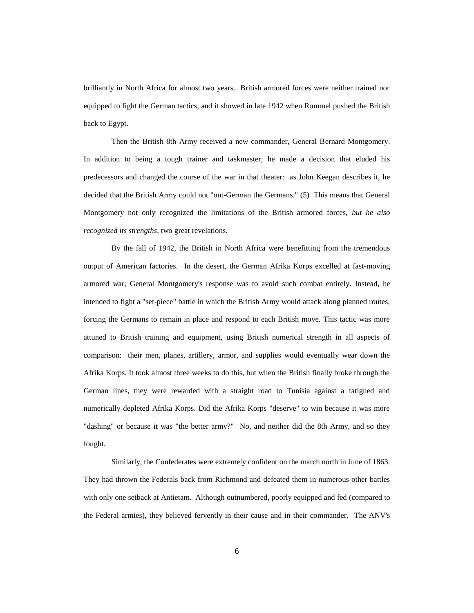brilliantly in North Africa for almost two years. British armored forces were neither trained nor equipped to fight the German tactics, and it showed in late 1942 when Rommel pushed the British back to Egypt.

Then the British 8th Army received a new commander, General Bernard Montgomery. In addition to being a tough trainer and taskmaster, he made a decision that eluded his predecessors and changed the course of the war in that theater: as John Keegan describes it, he decided that the British Army could not "out-German the Germans." (5) This means that General Montgomery not only recognized the limitations of the British armored forces, *but he also recognized its strengths*, two great revelations.

By the fall of 1942, the British in North Africa were benefitting from the tremendous output of American factories. In the desert, the German Afrika Korps excelled at fast-moving armored war; General Montgomery's response was to avoid such combat entirely. Instead, he intended to fight a "set-piece" battle in which the British Army would attack along planned routes, forcing the Germans to remain in place and respond to each British move. This tactic was more attuned to British training and equipment, using British numerical strength in all aspects of comparison: their men, planes, artillery, armor, and supplies would eventually wear down the Afrika Korps. It took almost three weeks to do this, but when the British finally broke through the German lines, they were rewarded with a straight road to Tunisia against a fatigued and numerically depleted Afrika Korps. Did the Afrika Korps "deserve" to win because it was more "dashing" or because it was "the better army?" No, and neither did the 8th Army, and so they fought.

Similarly, the Confederates were extremely confident on the march north in June of 1863. They had thrown the Federals back from Richmond and defeated them in numerous other battles with only one setback at Antietam. Although outnumbered, poorly equipped and fed (compared to the Federal armies), they believed fervently in their cause and in their commander. The ANV's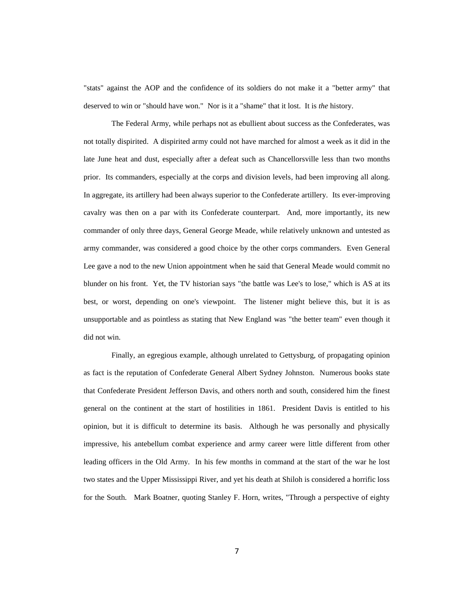"stats" against the AOP and the confidence of its soldiers do not make it a "better army" that deserved to win or "should have won." Nor is it a "shame" that it lost. It is *the* history.

The Federal Army, while perhaps not as ebullient about success as the Confederates, was not totally dispirited. A dispirited army could not have marched for almost a week as it did in the late June heat and dust, especially after a defeat such as Chancellorsville less than two months prior. Its commanders, especially at the corps and division levels, had been improving all along. In aggregate, its artillery had been always superior to the Confederate artillery. Its ever-improving cavalry was then on a par with its Confederate counterpart. And, more importantly, its new commander of only three days, General George Meade, while relatively unknown and untested as army commander, was considered a good choice by the other corps commanders. Even General Lee gave a nod to the new Union appointment when he said that General Meade would commit no blunder on his front. Yet, the TV historian says "the battle was Lee's to lose," which is AS at its best, or worst, depending on one's viewpoint. The listener might believe this, but it is as unsupportable and as pointless as stating that New England was "the better team" even though it did not win.

Finally, an egregious example, although unrelated to Gettysburg, of propagating opinion as fact is the reputation of Confederate General Albert Sydney Johnston. Numerous books state that Confederate President Jefferson Davis, and others north and south, considered him the finest general on the continent at the start of hostilities in 1861. President Davis is entitled to his opinion, but it is difficult to determine its basis. Although he was personally and physically impressive, his antebellum combat experience and army career were little different from other leading officers in the Old Army. In his few months in command at the start of the war he lost two states and the Upper Mississippi River, and yet his death at Shiloh is considered a horrific loss for the South. Mark Boatner, quoting Stanley F. Horn, writes, "Through a perspective of eighty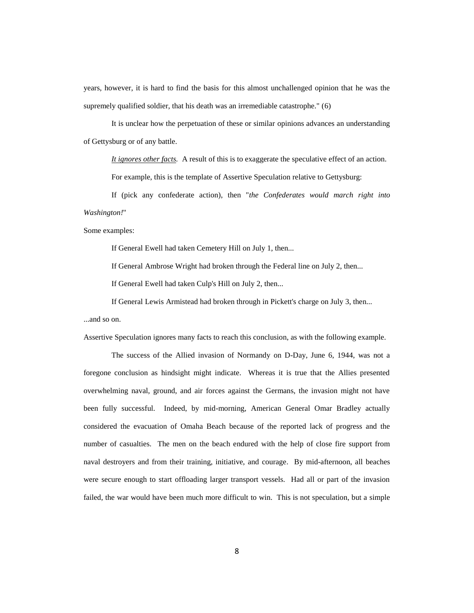years, however, it is hard to find the basis for this almost unchallenged opinion that he was the supremely qualified soldier, that his death was an irremediable catastrophe." (6)

It is unclear how the perpetuation of these or similar opinions advances an understanding of Gettysburg or of any battle.

*It ignores other facts.* A result of this is to exaggerate the speculative effect of an action. For example, this is the template of Assertive Speculation relative to Gettysburg:

If (pick any confederate action), then "*the Confederates would march right into Washington!*"

Some examples:

If General Ewell had taken Cemetery Hill on July 1, then...

If General Ambrose Wright had broken through the Federal line on July 2, then...

If General Ewell had taken Culp's Hill on July 2, then...

If General Lewis Armistead had broken through in Pickett's charge on July 3, then...

...and so on.

Assertive Speculation ignores many facts to reach this conclusion, as with the following example.

The success of the Allied invasion of Normandy on D-Day, June 6, 1944, was not a foregone conclusion as hindsight might indicate. Whereas it is true that the Allies presented overwhelming naval, ground, and air forces against the Germans, the invasion might not have been fully successful. Indeed, by mid-morning, American General Omar Bradley actually considered the evacuation of Omaha Beach because of the reported lack of progress and the number of casualties. The men on the beach endured with the help of close fire support from naval destroyers and from their training, initiative, and courage. By mid-afternoon, all beaches were secure enough to start offloading larger transport vessels. Had all or part of the invasion failed, the war would have been much more difficult to win. This is not speculation, but a simple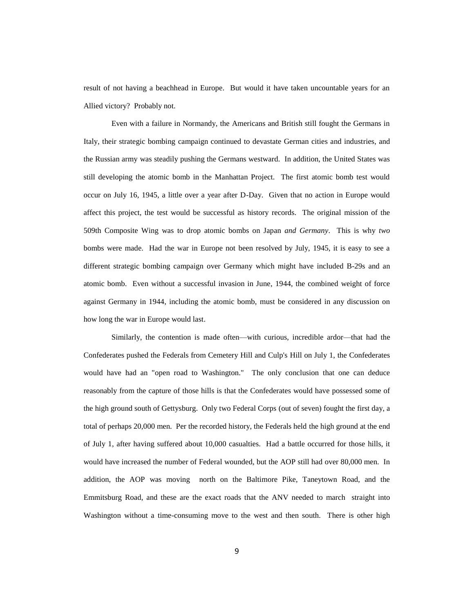result of not having a beachhead in Europe. But would it have taken uncountable years for an Allied victory? Probably not.

Even with a failure in Normandy, the Americans and British still fought the Germans in Italy, their strategic bombing campaign continued to devastate German cities and industries, and the Russian army was steadily pushing the Germans westward. In addition, the United States was still developing the atomic bomb in the Manhattan Project. The first atomic bomb test would occur on July 16, 1945, a little over a year after D-Day. Given that no action in Europe would affect this project, the test would be successful as history records. The original mission of the 509th Composite Wing was to drop atomic bombs on Japan *and Germany*. This is why *two* bombs were made. Had the war in Europe not been resolved by July, 1945, it is easy to see a different strategic bombing campaign over Germany which might have included B-29s and an atomic bomb. Even without a successful invasion in June, 1944, the combined weight of force against Germany in 1944, including the atomic bomb, must be considered in any discussion on how long the war in Europe would last.

Similarly, the contention is made often—with curious, incredible ardor—that had the Confederates pushed the Federals from Cemetery Hill and Culp's Hill on July 1, the Confederates would have had an "open road to Washington." The only conclusion that one can deduce reasonably from the capture of those hills is that the Confederates would have possessed some of the high ground south of Gettysburg. Only two Federal Corps (out of seven) fought the first day, a total of perhaps 20,000 men. Per the recorded history, the Federals held the high ground at the end of July 1, after having suffered about 10,000 casualties. Had a battle occurred for those hills, it would have increased the number of Federal wounded, but the AOP still had over 80,000 men. In addition, the AOP was moving north on the Baltimore Pike, Taneytown Road, and the Emmitsburg Road, and these are the exact roads that the ANV needed to march straight into Washington without a time-consuming move to the west and then south. There is other high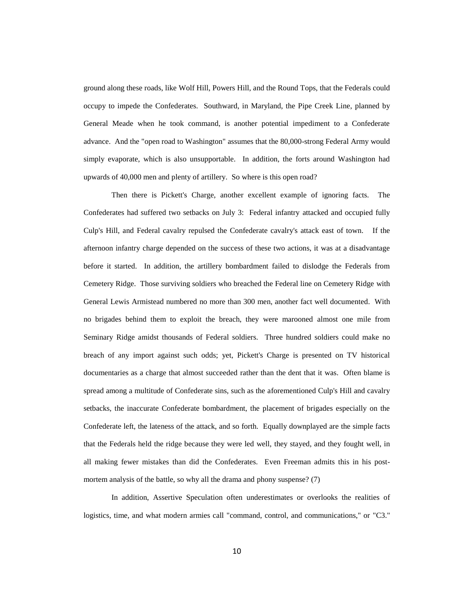ground along these roads, like Wolf Hill, Powers Hill, and the Round Tops, that the Federals could occupy to impede the Confederates. Southward, in Maryland, the Pipe Creek Line, planned by General Meade when he took command, is another potential impediment to a Confederate advance. And the "open road to Washington" assumes that the 80,000-strong Federal Army would simply evaporate, which is also unsupportable. In addition, the forts around Washington had upwards of 40,000 men and plenty of artillery. So where is this open road?

Then there is Pickett's Charge, another excellent example of ignoring facts. The Confederates had suffered two setbacks on July 3: Federal infantry attacked and occupied fully Culp's Hill, and Federal cavalry repulsed the Confederate cavalry's attack east of town. If the afternoon infantry charge depended on the success of these two actions, it was at a disadvantage before it started. In addition, the artillery bombardment failed to dislodge the Federals from Cemetery Ridge. Those surviving soldiers who breached the Federal line on Cemetery Ridge with General Lewis Armistead numbered no more than 300 men, another fact well documented. With no brigades behind them to exploit the breach, they were marooned almost one mile from Seminary Ridge amidst thousands of Federal soldiers. Three hundred soldiers could make no breach of any import against such odds; yet, Pickett's Charge is presented on TV historical documentaries as a charge that almost succeeded rather than the dent that it was. Often blame is spread among a multitude of Confederate sins, such as the aforementioned Culp's Hill and cavalry setbacks, the inaccurate Confederate bombardment, the placement of brigades especially on the Confederate left, the lateness of the attack, and so forth. Equally downplayed are the simple facts that the Federals held the ridge because they were led well, they stayed, and they fought well, in all making fewer mistakes than did the Confederates. Even Freeman admits this in his postmortem analysis of the battle, so why all the drama and phony suspense? (7)

In addition, Assertive Speculation often underestimates or overlooks the realities of logistics, time, and what modern armies call "command, control, and communications," or "C3."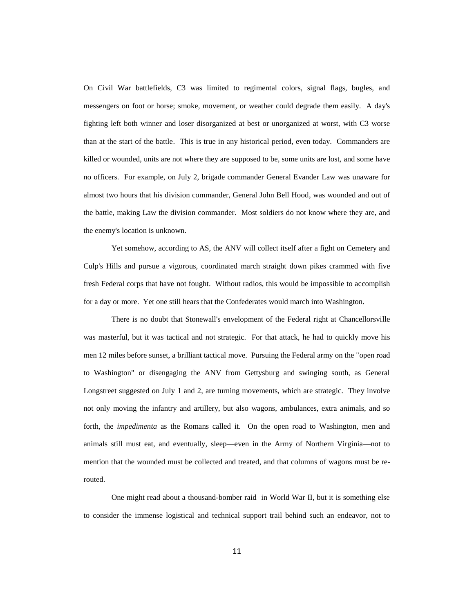On Civil War battlefields, C3 was limited to regimental colors, signal flags, bugles, and messengers on foot or horse; smoke, movement, or weather could degrade them easily. A day's fighting left both winner and loser disorganized at best or unorganized at worst, with C3 worse than at the start of the battle. This is true in any historical period, even today. Commanders are killed or wounded, units are not where they are supposed to be, some units are lost, and some have no officers. For example, on July 2, brigade commander General Evander Law was unaware for almost two hours that his division commander, General John Bell Hood, was wounded and out of the battle, making Law the division commander. Most soldiers do not know where they are, and the enemy's location is unknown.

Yet somehow, according to AS, the ANV will collect itself after a fight on Cemetery and Culp's Hills and pursue a vigorous, coordinated march straight down pikes crammed with five fresh Federal corps that have not fought. Without radios, this would be impossible to accomplish for a day or more. Yet one still hears that the Confederates would march into Washington.

There is no doubt that Stonewall's envelopment of the Federal right at Chancellorsville was masterful, but it was tactical and not strategic. For that attack, he had to quickly move his men 12 miles before sunset, a brilliant tactical move. Pursuing the Federal army on the "open road to Washington" or disengaging the ANV from Gettysburg and swinging south, as General Longstreet suggested on July 1 and 2, are turning movements, which are strategic. They involve not only moving the infantry and artillery, but also wagons, ambulances, extra animals, and so forth, the *impedimenta* as the Romans called it. On the open road to Washington, men and animals still must eat, and eventually, sleep—even in the Army of Northern Virginia—not to mention that the wounded must be collected and treated, and that columns of wagons must be rerouted.

One might read about a thousand-bomber raid in World War II, but it is something else to consider the immense logistical and technical support trail behind such an endeavor, not to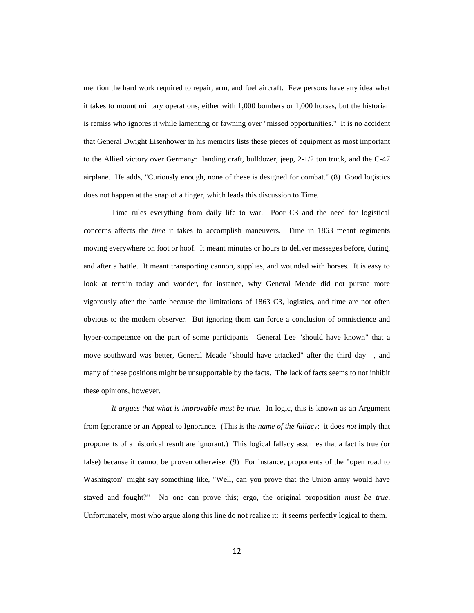mention the hard work required to repair, arm, and fuel aircraft. Few persons have any idea what it takes to mount military operations, either with 1,000 bombers or 1,000 horses, but the historian is remiss who ignores it while lamenting or fawning over "missed opportunities." It is no accident that General Dwight Eisenhower in his memoirs lists these pieces of equipment as most important to the Allied victory over Germany: landing craft, bulldozer, jeep, 2-1/2 ton truck, and the C-47 airplane. He adds, "Curiously enough, none of these is designed for combat." (8) Good logistics does not happen at the snap of a finger, which leads this discussion to Time.

Time rules everything from daily life to war. Poor C3 and the need for logistical concerns affects the *time* it takes to accomplish maneuvers. Time in 1863 meant regiments moving everywhere on foot or hoof. It meant minutes or hours to deliver messages before, during, and after a battle. It meant transporting cannon, supplies, and wounded with horses. It is easy to look at terrain today and wonder, for instance, why General Meade did not pursue more vigorously after the battle because the limitations of 1863 C3, logistics, and time are not often obvious to the modern observer. But ignoring them can force a conclusion of omniscience and hyper-competence on the part of some participants—General Lee "should have known" that a move southward was better, General Meade "should have attacked" after the third day—, and many of these positions might be unsupportable by the facts. The lack of facts seems to not inhibit these opinions, however.

*It argues that what is improvable must be true.* In logic, this is known as an Argument from Ignorance or an Appeal to Ignorance. (This is the *name of the fallacy*: it does *not* imply that proponents of a historical result are ignorant.) This logical fallacy assumes that a fact is true (or false) because it cannot be proven otherwise. (9) For instance, proponents of the "open road to Washington" might say something like, "Well, can you prove that the Union army would have stayed and fought?" No one can prove this; ergo, the original proposition *must be true*. Unfortunately, most who argue along this line do not realize it: it seems perfectly logical to them.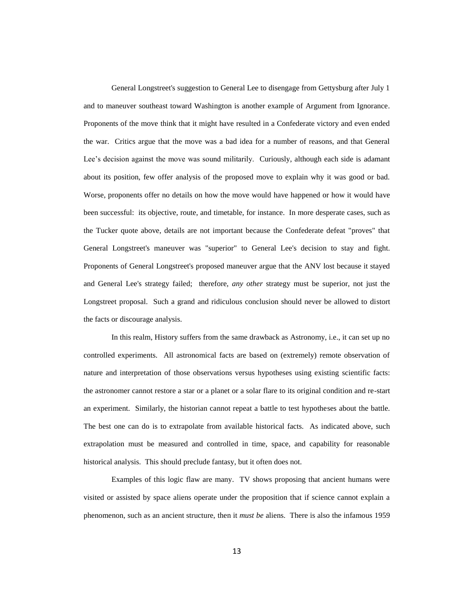General Longstreet's suggestion to General Lee to disengage from Gettysburg after July 1 and to maneuver southeast toward Washington is another example of Argument from Ignorance. Proponents of the move think that it might have resulted in a Confederate victory and even ended the war. Critics argue that the move was a bad idea for a number of reasons, and that General Lee's decision against the move was sound militarily. Curiously, although each side is adamant about its position, few offer analysis of the proposed move to explain why it was good or bad. Worse, proponents offer no details on how the move would have happened or how it would have been successful: its objective, route, and timetable, for instance. In more desperate cases, such as the Tucker quote above, details are not important because the Confederate defeat "proves" that General Longstreet's maneuver was "superior" to General Lee's decision to stay and fight. Proponents of General Longstreet's proposed maneuver argue that the ANV lost because it stayed and General Lee's strategy failed; therefore, *any other* strategy must be superior, not just the Longstreet proposal. Such a grand and ridiculous conclusion should never be allowed to distort the facts or discourage analysis.

In this realm, History suffers from the same drawback as Astronomy, i.e., it can set up no controlled experiments. All astronomical facts are based on (extremely) remote observation of nature and interpretation of those observations versus hypotheses using existing scientific facts: the astronomer cannot restore a star or a planet or a solar flare to its original condition and re-start an experiment. Similarly, the historian cannot repeat a battle to test hypotheses about the battle. The best one can do is to extrapolate from available historical facts. As indicated above, such extrapolation must be measured and controlled in time, space, and capability for reasonable historical analysis. This should preclude fantasy, but it often does not.

Examples of this logic flaw are many. TV shows proposing that ancient humans were visited or assisted by space aliens operate under the proposition that if science cannot explain a phenomenon, such as an ancient structure, then it *must be* aliens. There is also the infamous 1959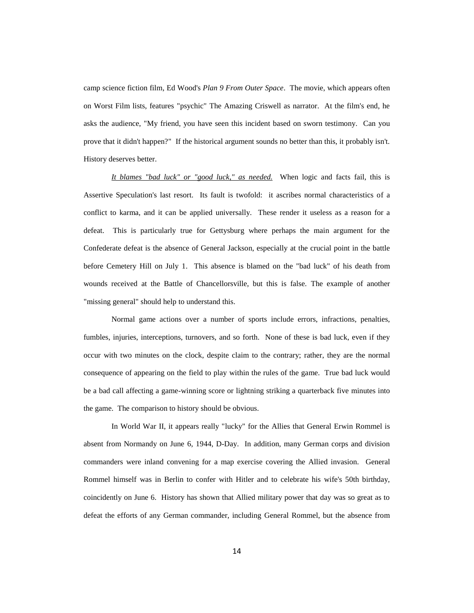camp science fiction film, Ed Wood's *Plan 9 From Outer Space*. The movie, which appears often on Worst Film lists, features "psychic" The Amazing Criswell as narrator. At the film's end, he asks the audience, "My friend, you have seen this incident based on sworn testimony. Can you prove that it didn't happen?" If the historical argument sounds no better than this, it probably isn't. History deserves better.

*It blames "bad luck" or "good luck," as needed.* When logic and facts fail, this is Assertive Speculation's last resort. Its fault is twofold: it ascribes normal characteristics of a conflict to karma, and it can be applied universally. These render it useless as a reason for a defeat. This is particularly true for Gettysburg where perhaps the main argument for the Confederate defeat is the absence of General Jackson, especially at the crucial point in the battle before Cemetery Hill on July 1. This absence is blamed on the "bad luck" of his death from wounds received at the Battle of Chancellorsville, but this is false. The example of another "missing general" should help to understand this.

Normal game actions over a number of sports include errors, infractions, penalties, fumbles, injuries, interceptions, turnovers, and so forth. None of these is bad luck, even if they occur with two minutes on the clock, despite claim to the contrary; rather, they are the normal consequence of appearing on the field to play within the rules of the game. True bad luck would be a bad call affecting a game-winning score or lightning striking a quarterback five minutes into the game. The comparison to history should be obvious.

In World War II, it appears really "lucky" for the Allies that General Erwin Rommel is absent from Normandy on June 6, 1944, D-Day. In addition, many German corps and division commanders were inland convening for a map exercise covering the Allied invasion. General Rommel himself was in Berlin to confer with Hitler and to celebrate his wife's 50th birthday, coincidently on June 6. History has shown that Allied military power that day was so great as to defeat the efforts of any German commander, including General Rommel, but the absence from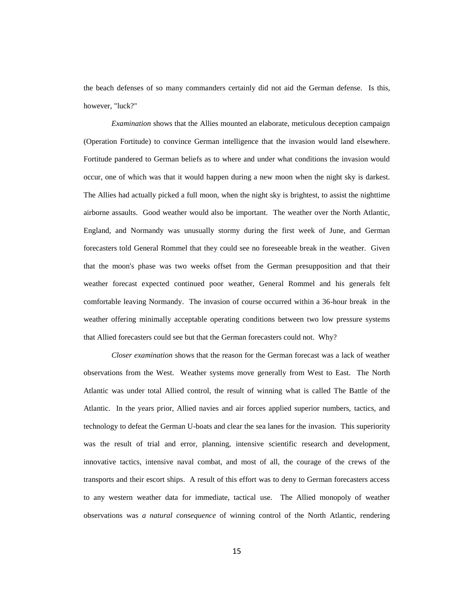the beach defenses of so many commanders certainly did not aid the German defense. Is this, however, "luck?"

*Examination* shows that the Allies mounted an elaborate, meticulous deception campaign (Operation Fortitude) to convince German intelligence that the invasion would land elsewhere. Fortitude pandered to German beliefs as to where and under what conditions the invasion would occur, one of which was that it would happen during a new moon when the night sky is darkest. The Allies had actually picked a full moon, when the night sky is brightest, to assist the nighttime airborne assaults. Good weather would also be important. The weather over the North Atlantic, England, and Normandy was unusually stormy during the first week of June, and German forecasters told General Rommel that they could see no foreseeable break in the weather. Given that the moon's phase was two weeks offset from the German presupposition and that their weather forecast expected continued poor weather, General Rommel and his generals felt comfortable leaving Normandy. The invasion of course occurred within a 36-hour break in the weather offering minimally acceptable operating conditions between two low pressure systems that Allied forecasters could see but that the German forecasters could not. Why?

*Closer examination* shows that the reason for the German forecast was a lack of weather observations from the West. Weather systems move generally from West to East. The North Atlantic was under total Allied control, the result of winning what is called The Battle of the Atlantic. In the years prior, Allied navies and air forces applied superior numbers, tactics, and technology to defeat the German U-boats and clear the sea lanes for the invasion. This superiority was the result of trial and error, planning, intensive scientific research and development, innovative tactics, intensive naval combat, and most of all, the courage of the crews of the transports and their escort ships. A result of this effort was to deny to German forecasters access to any western weather data for immediate, tactical use. The Allied monopoly of weather observations was *a natural consequence* of winning control of the North Atlantic, rendering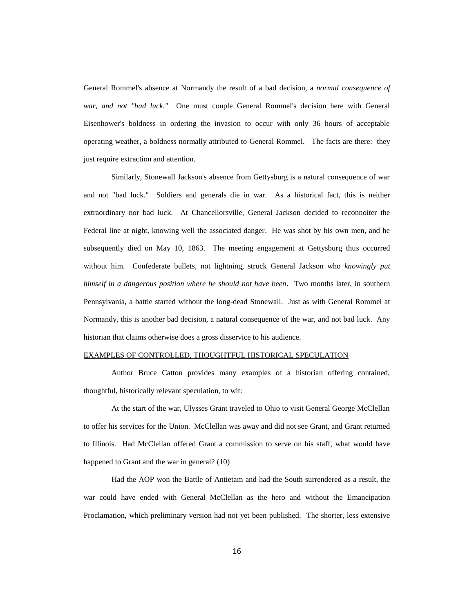General Rommel's absence at Normandy the result of a bad decision, a *normal consequence of war, and not "bad luck."* One must couple General Rommel's decision here with General Eisenhower's boldness in ordering the invasion to occur with only 36 hours of acceptable operating weather, a boldness normally attributed to General Rommel. The facts are there: they just require extraction and attention.

Similarly, Stonewall Jackson's absence from Gettysburg is a natural consequence of war and not "bad luck." Soldiers and generals die in war. As a historical fact, this is neither extraordinary nor bad luck. At Chancellorsville, General Jackson decided to reconnoiter the Federal line at night, knowing well the associated danger. He was shot by his own men, and he subsequently died on May 10, 1863. The meeting engagement at Gettysburg thus occurred without him. Confederate bullets, not lightning, struck General Jackson who *knowingly put himself in a dangerous position where he should not have been*. Two months later, in southern Pennsylvania, a battle started without the long-dead Stonewall. Just as with General Rommel at Normandy, this is another bad decision, a natural consequence of the war, and not bad luck. Any historian that claims otherwise does a gross disservice to his audience.

## EXAMPLES OF CONTROLLED, THOUGHTFUL HISTORICAL SPECULATION

Author Bruce Catton provides many examples of a historian offering contained, thoughtful, historically relevant speculation, to wit:

At the start of the war, Ulysses Grant traveled to Ohio to visit General George McClellan to offer his services for the Union. McClellan was away and did not see Grant, and Grant returned to Illinois. Had McClellan offered Grant a commission to serve on his staff, what would have happened to Grant and the war in general? (10)

Had the AOP won the Battle of Antietam and had the South surrendered as a result, the war could have ended with General McClellan as the hero and without the Emancipation Proclamation, which preliminary version had not yet been published. The shorter, less extensive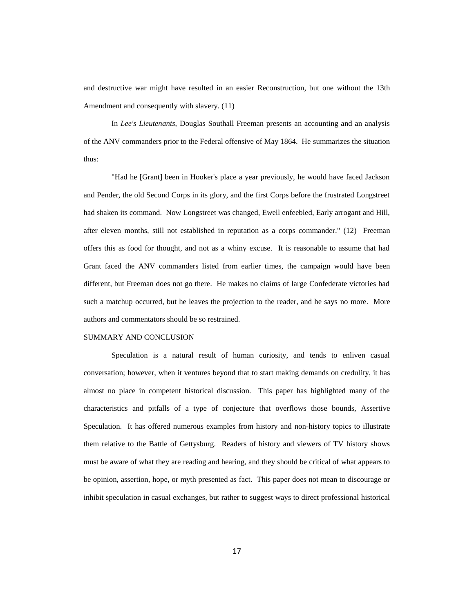and destructive war might have resulted in an easier Reconstruction, but one without the 13th Amendment and consequently with slavery. (11)

In *Lee's Lieutenants*, Douglas Southall Freeman presents an accounting and an analysis of the ANV commanders prior to the Federal offensive of May 1864. He summarizes the situation thus:

"Had he [Grant] been in Hooker's place a year previously, he would have faced Jackson and Pender, the old Second Corps in its glory, and the first Corps before the frustrated Longstreet had shaken its command. Now Longstreet was changed, Ewell enfeebled, Early arrogant and Hill, after eleven months, still not established in reputation as a corps commander." (12) Freeman offers this as food for thought, and not as a whiny excuse. It is reasonable to assume that had Grant faced the ANV commanders listed from earlier times, the campaign would have been different, but Freeman does not go there. He makes no claims of large Confederate victories had such a matchup occurred, but he leaves the projection to the reader, and he says no more. More authors and commentators should be so restrained.

## SUMMARY AND CONCLUSION

Speculation is a natural result of human curiosity, and tends to enliven casual conversation; however, when it ventures beyond that to start making demands on credulity, it has almost no place in competent historical discussion. This paper has highlighted many of the characteristics and pitfalls of a type of conjecture that overflows those bounds, Assertive Speculation. It has offered numerous examples from history and non-history topics to illustrate them relative to the Battle of Gettysburg. Readers of history and viewers of TV history shows must be aware of what they are reading and hearing, and they should be critical of what appears to be opinion, assertion, hope, or myth presented as fact. This paper does not mean to discourage or inhibit speculation in casual exchanges, but rather to suggest ways to direct professional historical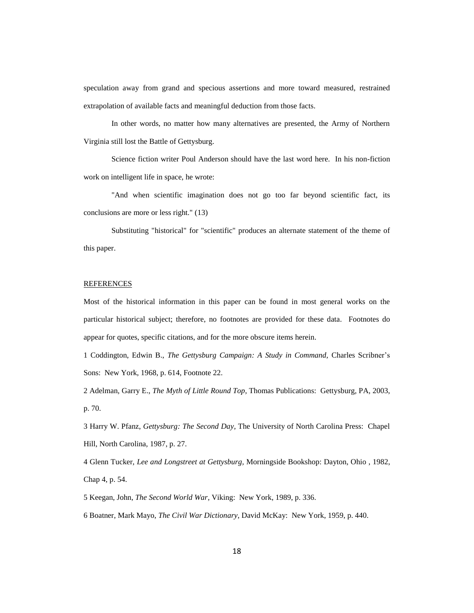speculation away from grand and specious assertions and more toward measured, restrained extrapolation of available facts and meaningful deduction from those facts.

In other words, no matter how many alternatives are presented, the Army of Northern Virginia still lost the Battle of Gettysburg.

Science fiction writer Poul Anderson should have the last word here. In his non-fiction work on intelligent life in space, he wrote:

"And when scientific imagination does not go too far beyond scientific fact, its conclusions are more or less right." (13)

Substituting "historical" for "scientific" produces an alternate statement of the theme of this paper.

## **REFERENCES**

Most of the historical information in this paper can be found in most general works on the particular historical subject; therefore, no footnotes are provided for these data. Footnotes do appear for quotes, specific citations, and for the more obscure items herein.

1 Coddington, Edwin B., *The Gettysburg Campaign: A Study in Command,* Charles Scribner's Sons: New York, 1968, p. 614, Footnote 22.

2 Adelman, Garry E., *The Myth of Little Round Top*, Thomas Publications: Gettysburg, PA, 2003, p. 70.

3 Harry W. Pfanz, *Gettysburg: The Second Day,* The University of North Carolina Press: Chapel Hill, North Carolina, 1987, p. 27.

4 Glenn Tucker, *Lee and Longstreet at Gettysburg,* Morningside Bookshop: Dayton, Ohio , 1982, Chap 4, p. 54.

5 Keegan, John, *The Second World War,* Viking: New York, 1989, p. 336.

6 Boatner, Mark Mayo, *The Civil War Dictionary*, David McKay: New York, 1959, p. 440.